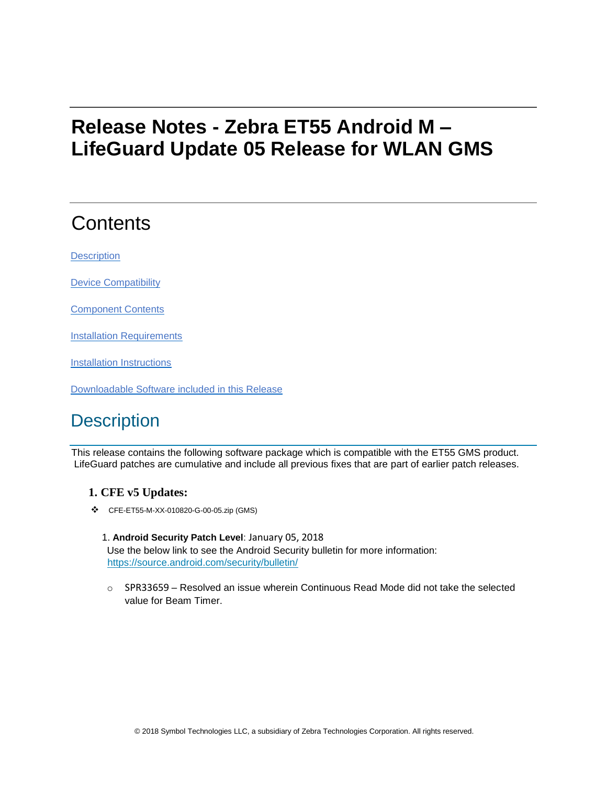# **Release Notes - Zebra ET55 Android M – LifeGuard Update 05 Release for WLAN GMS**

# **Contents**

**[Description](#page-0-0)** 

[Device Compatibility](#page-2-0)

[Component Contents](#page-2-1)

[Installation Requirements](#page-3-0)

[Installation Instructions](#page-3-1)

[Downloadable Software included in this Release](#page-4-0)

## <span id="page-0-0"></span>**Description**

This release contains the following software package which is compatible with the ET55 GMS product. LifeGuard patches are cumulative and include all previous fixes that are part of earlier patch releases.

### **1. CFE v5 Updates:**

- ❖ CFE-ET55-M-XX-010820-G-00-05.zip (GMS)
	- 1. **Android Security Patch Level**: January 05, 2018 Use the below link to see the Android Security bulletin for more information: <https://source.android.com/security/bulletin/>
	- $\circ$  SPR33659 Resolved an issue wherein Continuous Read Mode did not take the selected value for Beam Timer.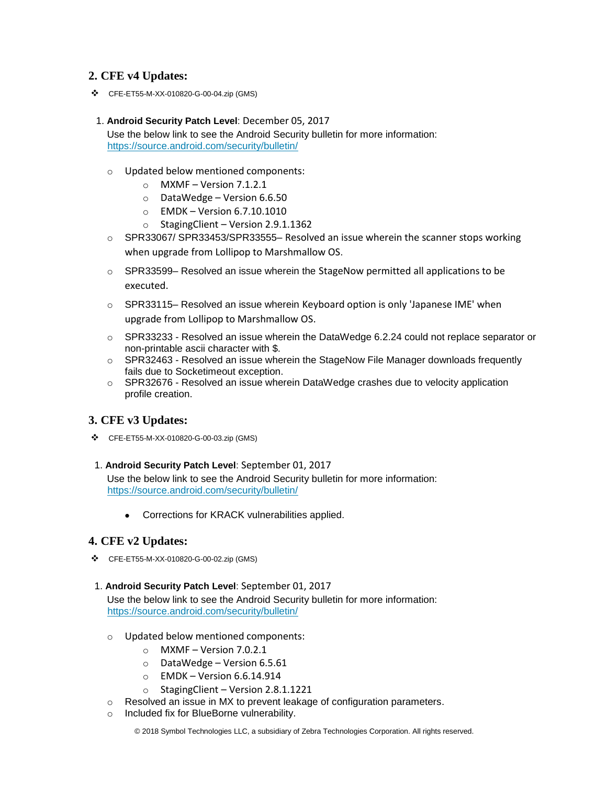### **2. CFE v4 Updates:**

❖ CFE-ET55-M-XX-010820-G-00-04.zip (GMS)

#### 1. **Android Security Patch Level**: December 05, 2017

Use the below link to see the Android Security bulletin for more information: <https://source.android.com/security/bulletin/>

- o Updated below mentioned components:
	- $\circ$  MXMF Version 7.1.2.1
	- o DataWedge Version 6.6.50
	- o EMDK Version 6.7.10.1010
	- o StagingClient Version 2.9.1.1362
- o SPR33067/ SPR33453/SPR33555– Resolved an issue wherein the scanner stops working when upgrade from Lollipop to Marshmallow OS.
- $\circ$  SPR33599– Resolved an issue wherein the StageNow permitted all applications to be executed.
- $\circ$  SPR33115– Resolved an issue wherein Keyboard option is only 'Japanese IME' when upgrade from Lollipop to Marshmallow OS.
- $\circ$  SPR33233 Resolved an issue wherein the DataWedge 6.2.24 could not replace separator or non-printable ascii character with \$.
- o SPR32463 Resolved an issue wherein the StageNow File Manager downloads frequently fails due to Socketimeout exception.
- $\circ$  SPR32676 Resolved an issue wherein DataWedge crashes due to velocity application profile creation.

#### **3. CFE v3 Updates:**

❖ CFE-ET55-M-XX-010820-G-00-03.zip (GMS)

#### 1. **Android Security Patch Level**: September 01, 2017

Use the below link to see the Android Security bulletin for more information: <https://source.android.com/security/bulletin/>

• Corrections for KRACK vulnerabilities applied.

#### **4. CFE v2 Updates:**

❖ CFE-ET55-M-XX-010820-G-00-02.zip (GMS)

#### 1. **Android Security Patch Level**: September 01, 2017

Use the below link to see the Android Security bulletin for more information: <https://source.android.com/security/bulletin/>

- o Updated below mentioned components:
	- o MXMF Version 7.0.2.1
	- $\circ$  DataWedge Version 6.5.61
	- $\circ$  EMDK Version 6.6.14.914
	- $\circ$  StagingClient Version 2.8.1.1221
- o Resolved an issue in MX to prevent leakage of configuration parameters.
- o Included fix for BlueBorne vulnerability.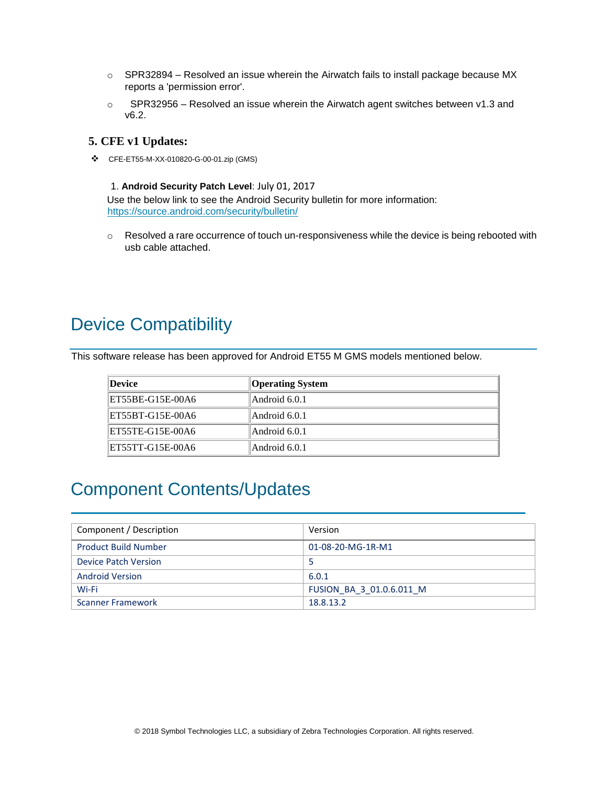- $\circ$  SPR32894 Resolved an issue wherein the Airwatch fails to install package because MX reports a 'permission error'.
- $\circ$  SPR32956 Resolved an issue wherein the Airwatch agent switches between v1.3 and v6.2.

#### **5. CFE v1 Updates:**

❖ CFE-ET55-M-XX-010820-G-00-01.zip (GMS)

1. **Android Security Patch Level**: July 01, 2017 Use the below link to see the Android Security bulletin for more information: <https://source.android.com/security/bulletin/>

 $\circ$  Resolved a rare occurrence of touch un-responsiveness while the device is being rebooted with usb cable attached.

## <span id="page-2-0"></span>Device Compatibility

This software release has been approved for Android ET55 M GMS models mentioned below.

| ∥Device          | <b>Operating System</b> |
|------------------|-------------------------|
| ET55BE-G15E-00A6 | Android 6.0.1           |
| ET55BT-G15E-00A6 | Android 6.0.1           |
| ET55TE-G15E-00A6 | Android 6.0.1           |
| ET55TT-G15E-00A6 | Android 6.0.1           |

## <span id="page-2-1"></span>Component Contents/Updates

| Component / Description     | Version                  |
|-----------------------------|--------------------------|
| <b>Product Build Number</b> | 01-08-20-MG-1R-M1        |
| Device Patch Version        |                          |
| <b>Android Version</b>      | 6.0.1                    |
| Wi-Fi                       | FUSION BA 3 01.0.6.011 M |
| <b>Scanner Framework</b>    | 18.8.13.2                |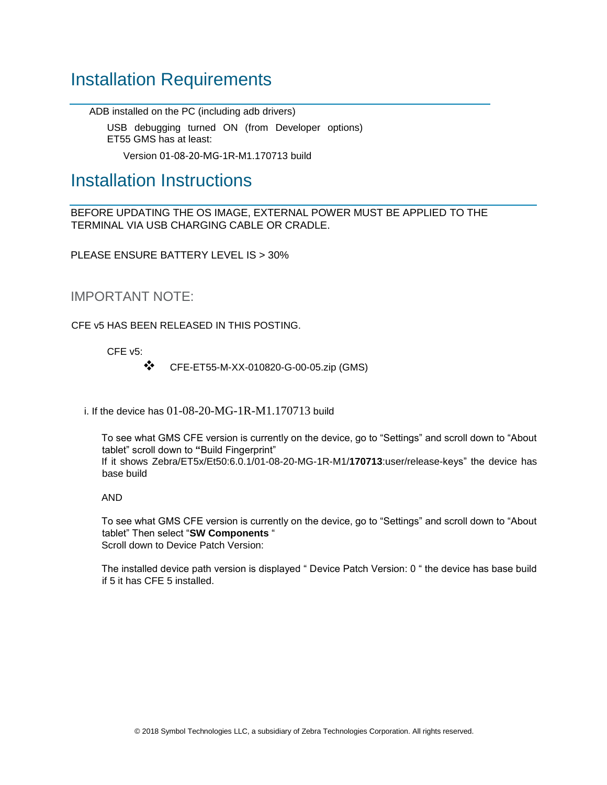## <span id="page-3-0"></span>Installation Requirements

ADB installed on the PC (including adb drivers)

USB debugging turned ON (from Developer options) ET55 GMS has at least:

Version 01-08-20-MG-1R-M1.170713 build

### <span id="page-3-1"></span>Installation Instructions

BEFORE UPDATING THE OS IMAGE, EXTERNAL POWER MUST BE APPLIED TO THE TERMINAL VIA USB CHARGING CABLE OR CRADLE.

PLEASE ENSURE BATTERY LEVEL IS > 30%

IMPORTANT NOTE:

CFE v5 HAS BEEN RELEASED IN THIS POSTING.

CFE v5:

❖ CFE-ET55-M-XX-010820-G-00-05.zip (GMS)

i. If the device has 01-08-20-MG-1R-M1.170713 build

To see what GMS CFE version is currently on the device, go to "Settings" and scroll down to "About tablet" scroll down to **"**Build Fingerprint" If it shows Zebra/ET5x/Et50:6.0.1/01-08-20-MG-1R-M1/**170713**:user/release-keys" the device has base build

AND

To see what GMS CFE version is currently on the device, go to "Settings" and scroll down to "About tablet" Then select "**SW Components** " Scroll down to Device Patch Version:

The installed device path version is displayed " Device Patch Version: 0 " the device has base build if 5 it has CFE 5 installed.